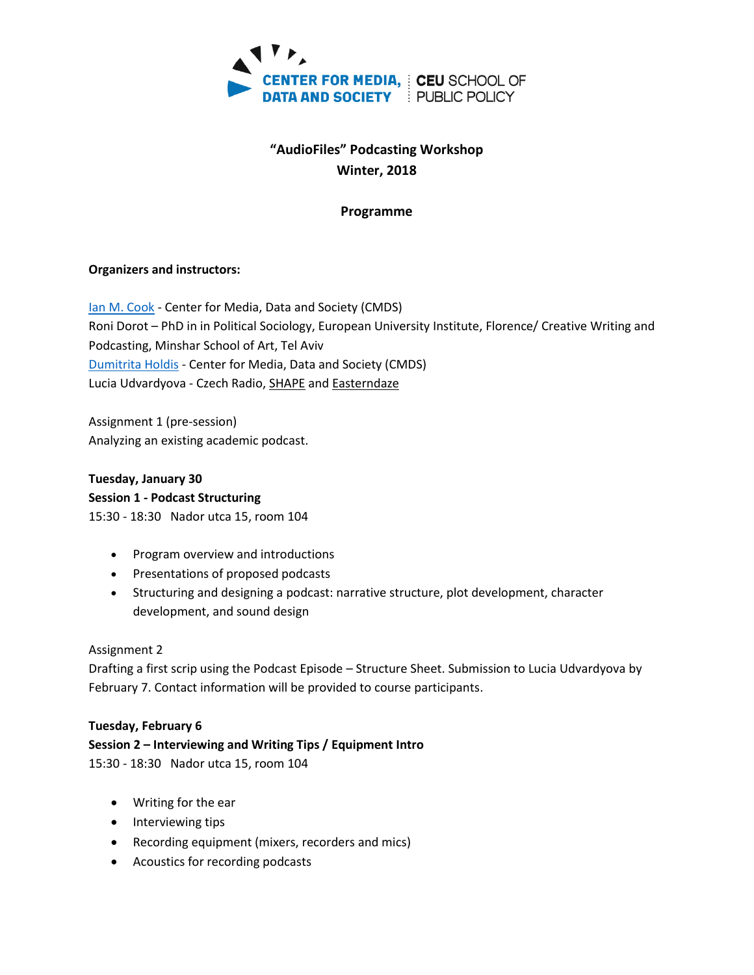

# **"AudioFiles" Podcasting Workshop Winter, 2018**

## **Programme**

#### **Organizers and instructors:**

[Ian M. Cook](https://cmds.ceu.edu/ian-m-cook) - Center for Media, Data and Society (CMDS) Roni Dorot – PhD in in Political Sociology, European University Institute, Florence/ Creative Writing and Podcasting, Minshar School of Art, Tel Aviv [Dumitrita Holdis](https://cmds.ceu.edu/people/dumitrita-holdis) - Center for Media, Data and Society (CMDS) Lucia Udvardyova - Czech Radio[, SHAPE](http://shapeplatform.eu/) an[d Easterndaze](http://easterndaze.net/)

Assignment 1 (pre-session) Analyzing an existing academic podcast.

**Tuesday, January 30 Session 1 - Podcast Structuring** 15:30 - 18:30 Nador utca 15, room 104

- Program overview and introductions
- Presentations of proposed podcasts
- Structuring and designing a podcast: narrative structure, plot development, character development, and sound design

#### Assignment 2

Drafting a first scrip using the Podcast Episode – Structure Sheet. Submission to Lucia Udvardyova by February 7. Contact information will be provided to course participants.

#### **Tuesday, February 6**

## **Session 2 – [Interviewing and Writing Tips / E](http://ceulearning.ceu.edu/course/editsection.php?id=75498&sr)quipment Intro**

15:30 - 18:30 Nador utca 15, room 104

- Writing for the ear
- Interviewing tips
- Recording equipment (mixers, recorders and mics)
- Acoustics for recording podcasts